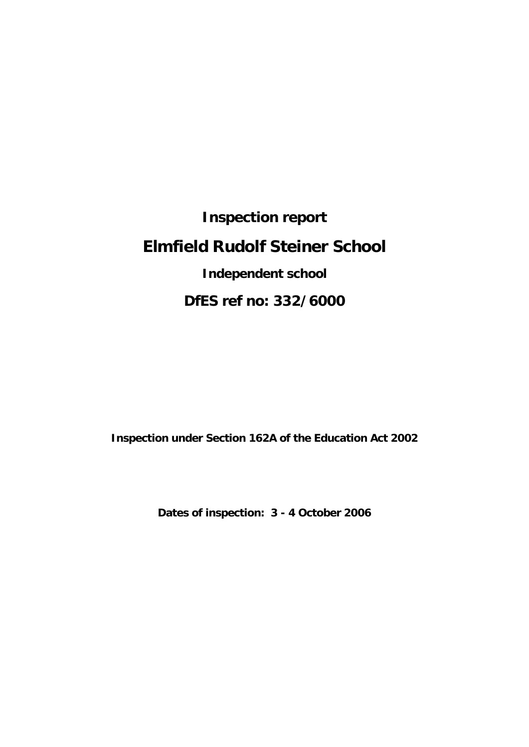**Inspection report Elmfield Rudolf Steiner School Independent school DfES ref no: 332/6000**

**Inspection under Section 162A of the Education Act 2002**

**Dates of inspection: 3 - 4 October 2006**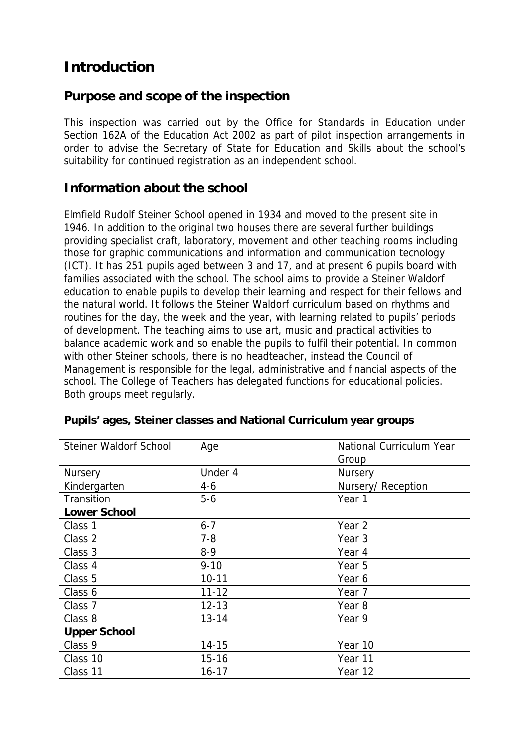# **Introduction**

#### **Purpose and scope of the inspection**

This inspection was carried out by the Office for Standards in Education under Section 162A of the Education Act 2002 as part of pilot inspection arrangements in order to advise the Secretary of State for Education and Skills about the school's suitability for continued registration as an independent school.

#### **Information about the school**

Elmfield Rudolf Steiner School opened in 1934 and moved to the present site in 1946. In addition to the original two houses there are several further buildings providing specialist craft, laboratory, movement and other teaching rooms including those for graphic communications and information and communication tecnology (ICT). It has 251 pupils aged between 3 and 17, and at present 6 pupils board with families associated with the school. The school aims to provide a Steiner Waldorf education to enable pupils to develop their learning and respect for their fellows and the natural world. It follows the Steiner Waldorf curriculum based on rhythms and routines for the day, the week and the year, with learning related to pupils' periods of development. The teaching aims to use art, music and practical activities to balance academic work and so enable the pupils to fulfil their potential. In common with other Steiner schools, there is no headteacher, instead the Council of Management is responsible for the legal, administrative and financial aspects of the school. The College of Teachers has delegated functions for educational policies. Both groups meet regularly.

| Steiner Waldorf School | Age       | National Curriculum Year |  |
|------------------------|-----------|--------------------------|--|
|                        |           | Group                    |  |
| <b>Nursery</b>         | Under 4   | <b>Nursery</b>           |  |
| Kindergarten           | $4 - 6$   | Nursery/Reception        |  |
| Transition             | $5-6$     | Year 1                   |  |
| Lower School           |           |                          |  |
| Class 1                | $6 - 7$   | Year 2                   |  |
| Class 2                | $7 - 8$   | Year 3                   |  |
| Class 3                | $8-9$     | Year 4                   |  |
| Class 4                | $9 - 10$  | Year 5                   |  |
| Class 5                | $10 - 11$ | Year 6                   |  |
| Class 6                | $11 - 12$ | Year 7                   |  |
| Class 7                | $12 - 13$ | Year 8                   |  |
| Class 8                | $13 - 14$ | Year 9                   |  |
| <b>Upper School</b>    |           |                          |  |
| Class 9                | $14 - 15$ | Year 10                  |  |
| Class 10               | $15 - 16$ | Year 11                  |  |
| Class 11               | $16 - 17$ | Year 12                  |  |

**Pupils' ages, Steiner classes and National Curriculum year groups**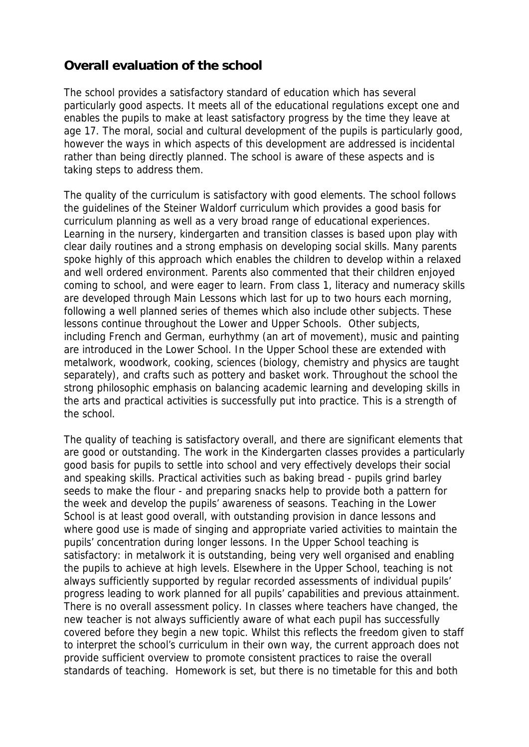## **Overall evaluation of the school**

The school provides a satisfactory standard of education which has several particularly good aspects. It meets all of the educational regulations except one and enables the pupils to make at least satisfactory progress by the time they leave at age 17. The moral, social and cultural development of the pupils is particularly good, however the ways in which aspects of this development are addressed is incidental rather than being directly planned. The school is aware of these aspects and is taking steps to address them.

The quality of the curriculum is satisfactory with good elements. The school follows the guidelines of the Steiner Waldorf curriculum which provides a good basis for curriculum planning as well as a very broad range of educational experiences. Learning in the nursery, kindergarten and transition classes is based upon play with clear daily routines and a strong emphasis on developing social skills. Many parents spoke highly of this approach which enables the children to develop within a relaxed and well ordered environment. Parents also commented that their children enjoyed coming to school, and were eager to learn. From class 1, literacy and numeracy skills are developed through Main Lessons which last for up to two hours each morning, following a well planned series of themes which also include other subjects. These lessons continue throughout the Lower and Upper Schools. Other subjects, including French and German, eurhythmy (an art of movement), music and painting are introduced in the Lower School. In the Upper School these are extended with metalwork, woodwork, cooking, sciences (biology, chemistry and physics are taught separately), and crafts such as pottery and basket work. Throughout the school the strong philosophic emphasis on balancing academic learning and developing skills in the arts and practical activities is successfully put into practice. This is a strength of the school.

The quality of teaching is satisfactory overall, and there are significant elements that are good or outstanding. The work in the Kindergarten classes provides a particularly good basis for pupils to settle into school and very effectively develops their social and speaking skills. Practical activities such as baking bread - pupils grind barley seeds to make the flour - and preparing snacks help to provide both a pattern for the week and develop the pupils' awareness of seasons. Teaching in the Lower School is at least good overall, with outstanding provision in dance lessons and where good use is made of singing and appropriate varied activities to maintain the pupils' concentration during longer lessons. In the Upper School teaching is satisfactory: in metalwork it is outstanding, being very well organised and enabling the pupils to achieve at high levels. Elsewhere in the Upper School, teaching is not always sufficiently supported by regular recorded assessments of individual pupils' progress leading to work planned for all pupils' capabilities and previous attainment. There is no overall assessment policy. In classes where teachers have changed, the new teacher is not always sufficiently aware of what each pupil has successfully covered before they begin a new topic. Whilst this reflects the freedom given to staff to interpret the school's curriculum in their own way, the current approach does not provide sufficient overview to promote consistent practices to raise the overall standards of teaching. Homework is set, but there is no timetable for this and both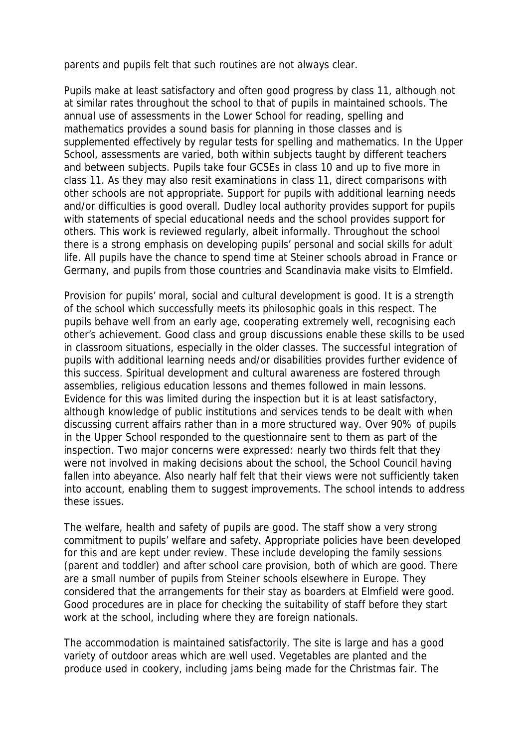parents and pupils felt that such routines are not always clear.

Pupils make at least satisfactory and often good progress by class 11, although not at similar rates throughout the school to that of pupils in maintained schools. The annual use of assessments in the Lower School for reading, spelling and mathematics provides a sound basis for planning in those classes and is supplemented effectively by regular tests for spelling and mathematics. In the Upper School, assessments are varied, both within subjects taught by different teachers and between subjects. Pupils take four GCSEs in class 10 and up to five more in class 11. As they may also resit examinations in class 11, direct comparisons with other schools are not appropriate. Support for pupils with additional learning needs and/or difficulties is good overall. Dudley local authority provides support for pupils with statements of special educational needs and the school provides support for others. This work is reviewed regularly, albeit informally. Throughout the school there is a strong emphasis on developing pupils' personal and social skills for adult life. All pupils have the chance to spend time at Steiner schools abroad in France or Germany, and pupils from those countries and Scandinavia make visits to Elmfield.

Provision for pupils' moral, social and cultural development is good. It is a strength of the school which successfully meets its philosophic goals in this respect. The pupils behave well from an early age, cooperating extremely well, recognising each other's achievement. Good class and group discussions enable these skills to be used in classroom situations, especially in the older classes. The successful integration of pupils with additional learning needs and/or disabilities provides further evidence of this success. Spiritual development and cultural awareness are fostered through assemblies, religious education lessons and themes followed in main lessons. Evidence for this was limited during the inspection but it is at least satisfactory, although knowledge of public institutions and services tends to be dealt with when discussing current affairs rather than in a more structured way. Over 90% of pupils in the Upper School responded to the questionnaire sent to them as part of the inspection. Two major concerns were expressed: nearly two thirds felt that they were not involved in making decisions about the school, the School Council having fallen into abeyance. Also nearly half felt that their views were not sufficiently taken into account, enabling them to suggest improvements. The school intends to address these issues.

The welfare, health and safety of pupils are good. The staff show a very strong commitment to pupils' welfare and safety. Appropriate policies have been developed for this and are kept under review. These include developing the family sessions (parent and toddler) and after school care provision, both of which are good. There are a small number of pupils from Steiner schools elsewhere in Europe. They considered that the arrangements for their stay as boarders at Elmfield were good. Good procedures are in place for checking the suitability of staff before they start work at the school, including where they are foreign nationals.

The accommodation is maintained satisfactorily. The site is large and has a good variety of outdoor areas which are well used. Vegetables are planted and the produce used in cookery, including jams being made for the Christmas fair. The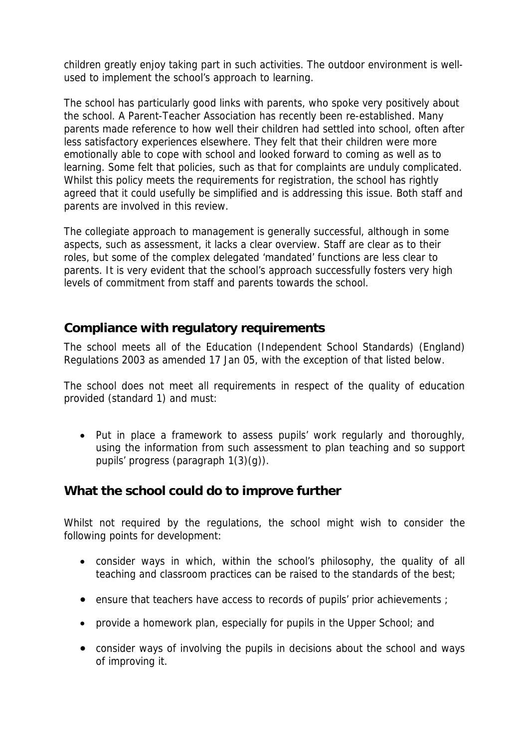children greatly enjoy taking part in such activities. The outdoor environment is wellused to implement the school's approach to learning.

The school has particularly good links with parents, who spoke very positively about the school. A Parent-Teacher Association has recently been re-established. Many parents made reference to how well their children had settled into school, often after less satisfactory experiences elsewhere. They felt that their children were more emotionally able to cope with school and looked forward to coming as well as to learning. Some felt that policies, such as that for complaints are unduly complicated. Whilst this policy meets the requirements for registration, the school has rightly agreed that it could usefully be simplified and is addressing this issue. Both staff and parents are involved in this review.

The collegiate approach to management is generally successful, although in some aspects, such as assessment, it lacks a clear overview. Staff are clear as to their roles, but some of the complex delegated 'mandated' functions are less clear to parents. It is very evident that the school's approach successfully fosters very high levels of commitment from staff and parents towards the school.

#### **Compliance with regulatory requirements**

The school meets all of the Education (Independent School Standards) (England) Regulations 2003 as amended 17 Jan 05, with the exception of that listed below.

The school does not meet all requirements in respect of the quality of education provided (standard 1) and must:

• Put in place a framework to assess pupils' work regularly and thoroughly, using the information from such assessment to plan teaching and so support pupils' progress (paragraph 1(3)(g)).

## **What the school could do to improve further**

Whilst not required by the regulations, the school might wish to consider the following points for development:

- consider ways in which, within the school's philosophy, the quality of all teaching and classroom practices can be raised to the standards of the best;
- ensure that teachers have access to records of pupils' prior achievements ;
- provide a homework plan, especially for pupils in the Upper School; and
- consider ways of involving the pupils in decisions about the school and ways of improving it.